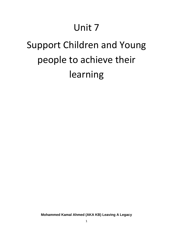# Unit 7

# Support Children and Young people to achieve their learning

**Mohammed Kamal Ahmed (AKA KB) Leaving A Legacy**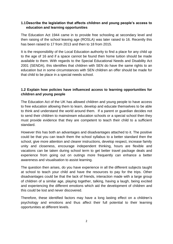## **1.1Describe the legislation that affects children and young people's access to education and learning opportunities**

The Education Act 1944 came in to provide free schooling at secondary level and then raising of the school leaving age (ROSLA) was later raised to 16. Recently this has been raised to 17 from 2013 and then to 18 from 2015.

It is the responsibility of the Local Education authority to find a place for any child up to the age of 16 and if a space cannot be found then home tuition should be made available to them. With regards to the Special Educational Needs and Disability Act 2001 (SENDA), this identifies that children with SEN do have the same rights to an education but in some circumstances with SEN children an offer should be made for that child to be place in a special needs school.

# **1.2 Explain how policies have influenced access to learning opportunities for children and young people**

The Education Act of the UK has allowed children and young people to have access to free education allowing them to learn, develop and educate themselves to be able to think and understand the world around them. If a parent or guardian decides not to send their children to mainstream education schools or a special school then they must provide evidence that they are competent to teach their child to a sufficient standard.

However this has both an advantages and disadvantages attached to it. The positive could be that you can teach them the school syllabus to a better standard then the school, give more attention and clearer instructions, develop respect, increase family unity and closeness, encourage independent thinking, hours are flexible and vacations can be taken during school term to get better travel package deals and experience from going out on outings more frequently can enhance a better awareness and visualisation to assist learning.

The question then arises, do you have experience in all the different subjects taught at school to teach your child and have the resources to pay for the trips. Other disadvantages could be that the lack of friends, interaction made with a large group of children of a similar age, playing together, talking, having a laugh, being excited and experiencing the different emotions which aid the development of children and this could be lost and never discovered.

Therefore, these identified factors may have a long lasting effect on a children's psychology and emotions and thus affect their full potential to their learning opportunities at different levels.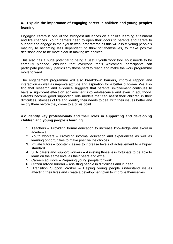### **4.1 Explain the importance of engaging carers in children and young peoples learning**

Engaging carers is one of the strongest influences on a child's learning attainment and life chances. Youth centers need to open their doors to parents and carers to support and engage in their youth work programme as this will assist young people's maturity to becoming less dependent, to think for themselves, to make positive decisions and to be more clear in making life choices.

This also has a huge potential to being a useful youth work tool, so it needs to be carefully planned, ensuring that everyone feels welcomed, participants can participate positively, particularly those hard to reach and make the work programme move forward.

The engagement programme will also breakdown barriers, improve rapport and interaction as well as improve attitude and aspiration for a better outcome. We also find that research and evidence suggests that parental involvement continues to have a significant effect on achievement into adolescence and even in adulthood. Parents become good supporting role models that can assist their children in their difficulties, stresses of life and identify their needs to deal with their issues better and rectify them before they come to a crisis point.

#### **4.2 Identify key professionals and their roles in supporting and developing children and young people's learning**

- 1. Teachers Providing formal education to increase knowledge and excel in academia
- 2. Youth workers Providing informal education and experiences as well as learning opportunities to make positive life choices
- 3. Private tutors booster classes to increase levels of achievement to a higher standard
- 4. SEN carers and support workers Assisting those less fortunate to be able to learn on the same level as their peers and excel
- 5. Careers advisors Preparing young people for work
- 6. Citizen advice bureau Assisting people in difficulties and in need
- 7. Transition Support Worker Helping young people understand issues affecting their lives and create a development plan to improve themselves